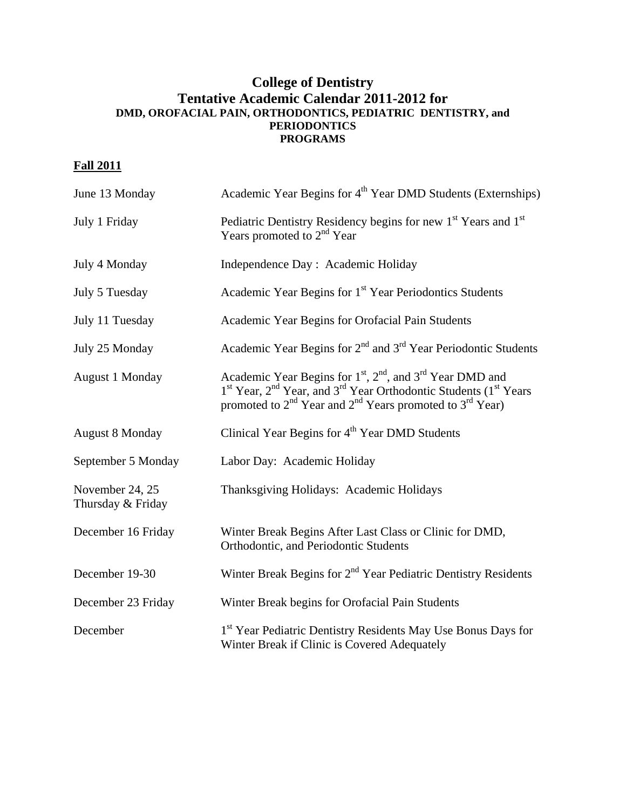## **College of Dentistry Tentative Academic Calendar 2011-2012 for DMD, OROFACIAL PAIN, ORTHODONTICS, PEDIATRIC DENTISTRY, and PERIODONTICS PROGRAMS**

## **Fall 2011**

| June 13 Monday                       | Academic Year Begins for 4 <sup>th</sup> Year DMD Students (Externships)                                                                                                                                                                                                                     |
|--------------------------------------|----------------------------------------------------------------------------------------------------------------------------------------------------------------------------------------------------------------------------------------------------------------------------------------------|
| July 1 Friday                        | Pediatric Dentistry Residency begins for new 1 <sup>st</sup> Years and 1 <sup>st</sup><br>Years promoted to $2nd$ Year                                                                                                                                                                       |
| July 4 Monday                        | Independence Day : Academic Holiday                                                                                                                                                                                                                                                          |
| July 5 Tuesday                       | Academic Year Begins for 1 <sup>st</sup> Year Periodontics Students                                                                                                                                                                                                                          |
| July 11 Tuesday                      | Academic Year Begins for Orofacial Pain Students                                                                                                                                                                                                                                             |
| July 25 Monday                       | Academic Year Begins for $2nd$ and $3rd$ Year Periodontic Students                                                                                                                                                                                                                           |
| <b>August 1 Monday</b>               | Academic Year Begins for 1 <sup>st</sup> , 2 <sup>nd</sup> , and 3 <sup>rd</sup> Year DMD and<br>1 <sup>st</sup> Year, 2 <sup>nd</sup> Year, and 3 <sup>rd</sup> Year Orthodontic Students (1 <sup>st</sup> Years<br>promoted to $2^{nd}$ Year and $2^{nd}$ Years promoted to $3^{rd}$ Year) |
| <b>August 8 Monday</b>               | Clinical Year Begins for 4 <sup>th</sup> Year DMD Students                                                                                                                                                                                                                                   |
| September 5 Monday                   | Labor Day: Academic Holiday                                                                                                                                                                                                                                                                  |
| November 24, 25<br>Thursday & Friday | Thanksgiving Holidays: Academic Holidays                                                                                                                                                                                                                                                     |
| December 16 Friday                   | Winter Break Begins After Last Class or Clinic for DMD,<br>Orthodontic, and Periodontic Students                                                                                                                                                                                             |
| December 19-30                       | Winter Break Begins for 2 <sup>nd</sup> Year Pediatric Dentistry Residents                                                                                                                                                                                                                   |
| December 23 Friday                   | Winter Break begins for Orofacial Pain Students                                                                                                                                                                                                                                              |
| December                             | 1 <sup>st</sup> Year Pediatric Dentistry Residents May Use Bonus Days for<br>Winter Break if Clinic is Covered Adequately                                                                                                                                                                    |